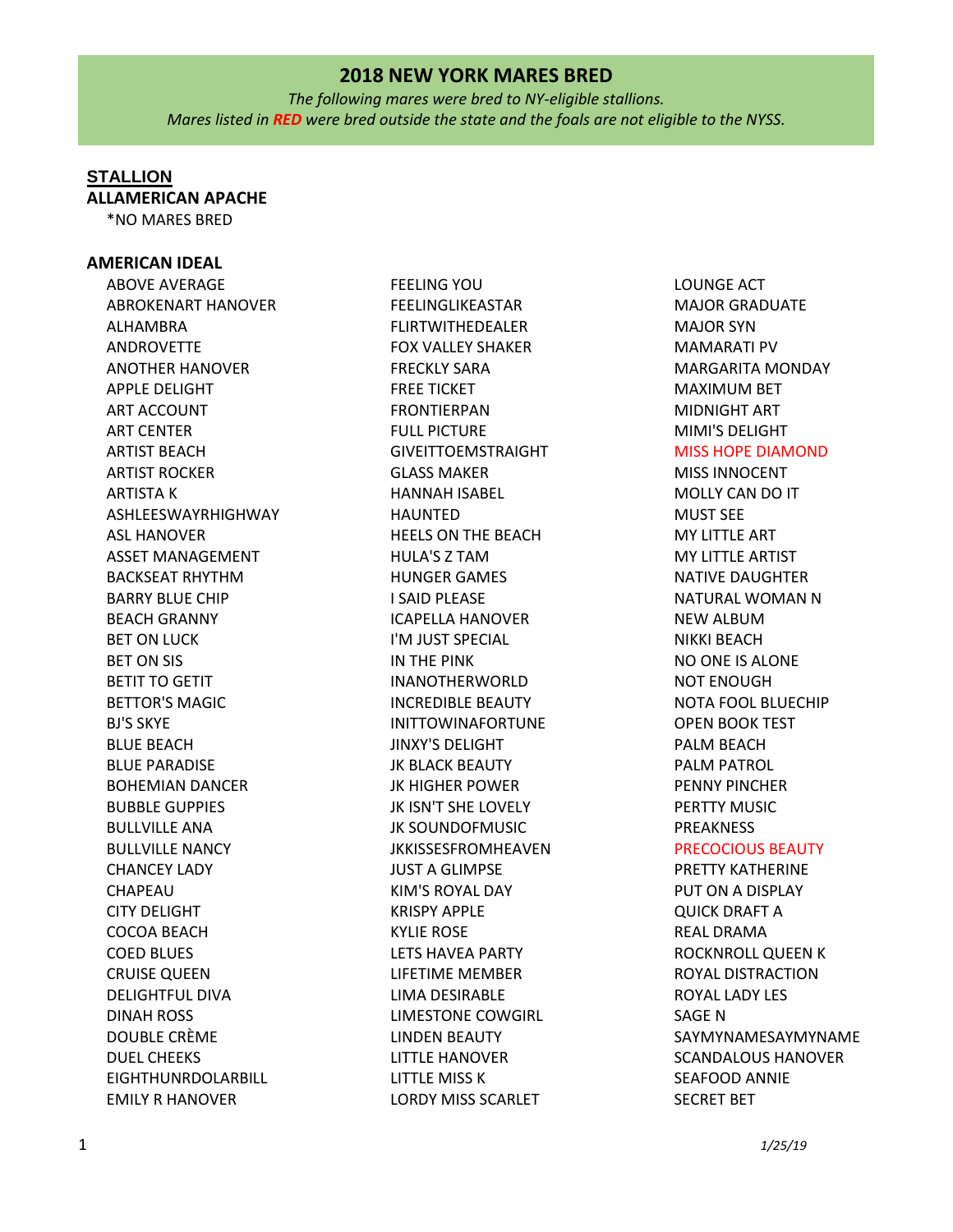*The following mares were bred to NY-eligible stallions. Mares listed in RED were bred outside the state and the foals are not eligible to the NYSS.*

## **STALLION**

**ALLAMERICAN APACHE**

\*NO MARES BRED

#### **AMERICAN IDEAL**

ABOVE AVERAGE ABROKENART HANOVER ALHAMBRA ANDROVETTE ANOTHER HANOVER APPLE DELIGHT ART ACCOUNT ART CENTER ARTIST BEACH ARTIST ROCKER ARTISTA K ASHLEESWAYRHIGHWAY ASL HANOVER ASSET MANAGEMENT BACKSEAT RHYTHM BARRY BLUE CHIP BEACH GRANNY BET ON LUCK BET ON SIS BETIT TO GETIT BETTOR'S MAGIC BJ'S SKYE BLUE BEACH BLUE PARADISE BOHEMIAN DANCER BUBBLE GUPPIES BULLVILLE ANA BULLVILLE NANCY CHANCEY LADY CHAPEAU CITY DELIGHT COCOA BEACH COED BLUES CRUISE QUEEN DELIGHTFUL DIVA DINAH ROSS DOUBLE CRÈME DUEL CHEEKS EIGHTHUNRDOLARBILL EMILY R HANOVER

FEELING YOU FEELINGLIKEASTAR FLIRTWITHEDEALER FOX VALLEY SHAKER FRECKLY SARA FREE TICKET FRONTIERPAN FULL PICTURE GIVEITTOEMSTRAIGHT GLASS MAKER HANNAH ISABEL HAUNTED HEELS ON THE BEACH HULA'S Z TAM HUNGER GAMES I SAID PLEASE ICAPELLA HANOVER I'M JUST SPECIAL IN THE PINK INANOTHERWORLD INCREDIBLE BEAUTY INITTOWINAFORTUNE JINXY'S DELIGHT JK BLACK BEAUTY JK HIGHER POWER JK ISN'T SHE LOVELY JK SOUNDOFMUSIC JKKISSESFROMHEAVEN JUST A GLIMPSE KIM'S ROYAL DAY KRISPY APPLE KYLIE ROSE LETS HAVEA PARTY LIFETIME MEMBER LIMA DESIRABLE LIMESTONE COWGIRL LINDEN BEAUTY LITTLE HANOVER LITTLE MISS K LORDY MISS SCARLET

LOUNGE ACT MAJOR GRADUATE MAJOR SYN MAMARATI PV MARGARITA MONDAY MAXIMUM BET MIDNIGHT ART MIMI'S DELIGHT MISS HOPE DIAMOND MISS INNOCENT MOLLY CAN DO IT MUST SEE MY LITTLE ART MY LITTLE ARTIST NATIVE DAUGHTER NATURAL WOMAN N NEW ALBUM NIKKI BEACH NO ONE IS ALONE NOT ENOUGH NOTA FOOL BLUECHIP OPEN BOOK TEST PALM BEACH PALM PATROL PENNY PINCHER PERTTY MUSIC PREAKNESS PRECOCIOUS BEAUTY PRETTY KATHERINE PUT ON A DISPLAY QUICK DRAFT A REAL DRAMA ROCKNROLL QUEEN K ROYAL DISTRACTION ROYAL LADY LES SAGE N

SAYMYNAMESAYMYNAME SCANDALOUS HANOVER SEAFOOD ANNIE SECRET BET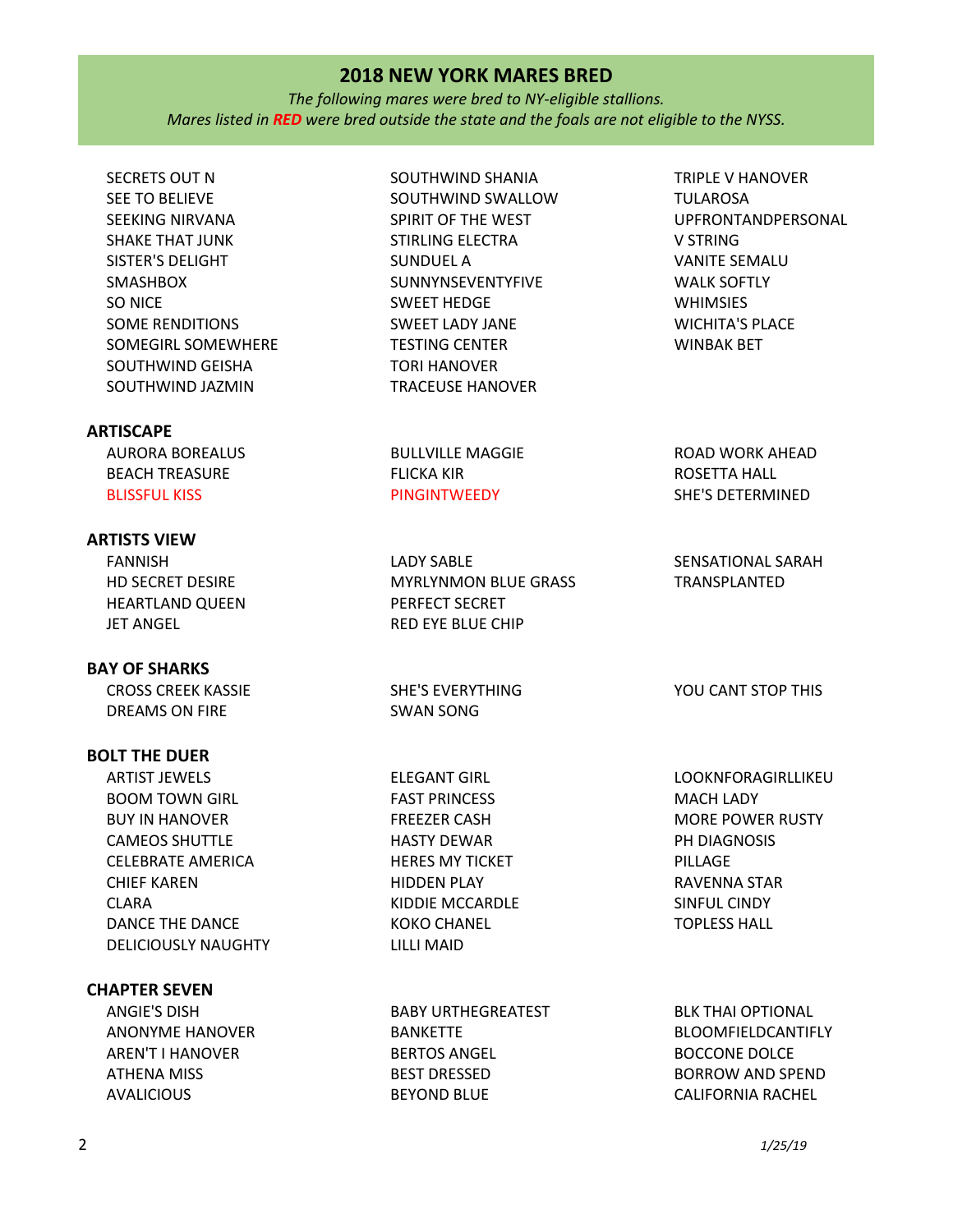*The following mares were bred to NY-eligible stallions. Mares listed in RED were bred outside the state and the foals are not eligible to the NYSS.*

SECRETS OUT N SEE TO BELIEVE SEEKING NIRVANA SHAKE THAT JUNK SISTER'S DELIGHT SMASHBOX SO NICE SOME RENDITIONS SOMEGIRL SOMEWHERE SOUTHWIND GEISHA SOUTHWIND JAZMIN SOUTHWIND SHANIA SOUTHWIND SWALLOW SPIRIT OF THE WEST STIRLING ELECTRA SUNDUEL A SUNNYNSEVENTYFIVE SWEET HEDGE SWEET LADY JANE TESTING CENTER TORI HANOVER TRACEUSE HANOVER **ARTISCAPE** AURORA BOREALUS BEACH TREASURE BLISSFUL KISS BULLVILLE MAGGIE FLICKA KIR **PINGINTWEEDY ARTISTS VIEW** FANNISH HD SECRET DESIRE HEARTLAND QUEEN LADY SABLE MYRLYNMON BLUE GRASS PERFECT SECRET

TULAROSA UPFRONTANDPERSONAL V STRING VANITE SEMALU WALK SOFTLY WHIMSIES WICHITA'S PLACE WINBAK BET

TRIPLE V HANOVER

ROAD WORK AHEAD ROSETTA HALL SHE'S DETERMINED

SENSATIONAL SARAH TRANSPLANTED

YOU CANT STOP THIS

LOOKNFORAGIRLLIKEU MACH LADY MORE POWER RUSTY PH DIAGNOSIS PILLAGE RAVENNA STAR SINFUL CINDY TOPLESS HALL

BLK THAI OPTIONAL BLOOMFIELDCANTIFLY BOCCONE DOLCE BORROW AND SPEND CALIFORNIA RACHEL

## DREAMS ON FIRE SWAN SONG **BOLT THE DUER** ARTIST JEWELS BOOM TOWN GIRL BUY IN HANOVER CAMEOS SHUTTLE CELEBRATE AMERICA CHIEF KAREN DANCE THE DANCE DELICIOUSLY NAUGHTY KIDDIE MCCARDLE KOKO CHANEL LILLI MAID **CHAPTER SEVEN**

ANGIE'S DISH ANONYME HANOVER AREN'T I HANOVER ATHENA MISS AVALICIOUS

ELEGANT GIRL FAST PRINCESS FREEZER CASH HASTY DEWAR HERES MY TICKET HIDDEN PLAY

RED EYE BLUE CHIP

SHE'S EVERYTHING

BABY URTHEGREATEST BANKETTE BERTOS ANGEL BEST DRESSED

BEYOND BLUE

JET ANGEL

**BAY OF SHARKS**

CLARA

CROSS CREEK KASSIE

2 *1/25/19*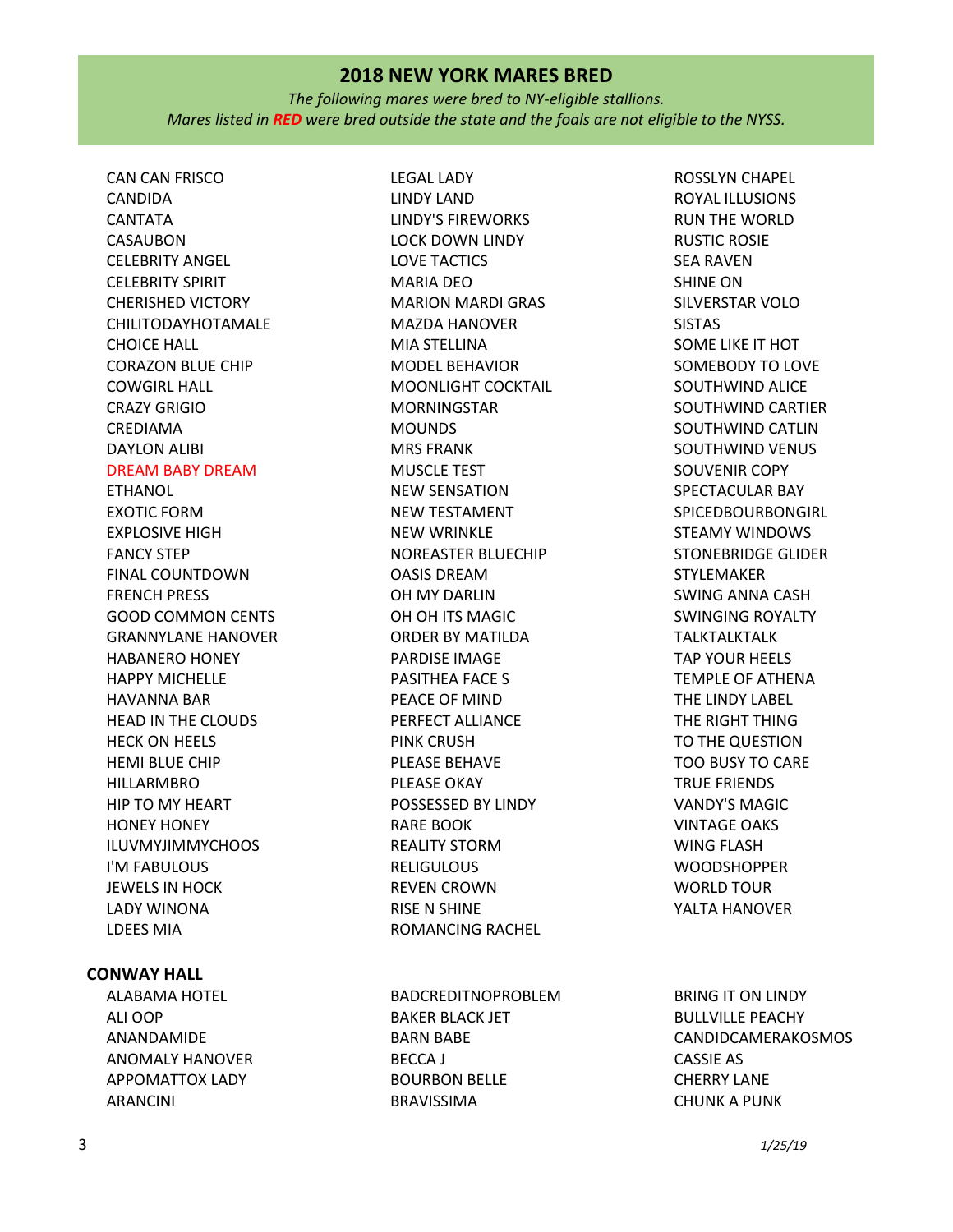*The following mares were bred to NY-eligible stallions. Mares listed in RED were bred outside the state and the foals are not eligible to the NYSS.*

LEGAL LADY

CAN CAN FRISCO CANDIDA CANTATA CASAUBON CELEBRITY ANGEL CELEBRITY SPIRIT CHERISHED VICTORY CHILITODAYHOTAMALE CHOICE HALL CORAZON BLUE CHIP COWGIRL HALL CRAZY GRIGIO CREDIAMA DAYLON ALIBI DREAM BABY DREAM ETHANOL EXOTIC FORM EXPLOSIVE HIGH FANCY STEP FINAL COUNTDOWN FRENCH PRESS GOOD COMMON CENTS GRANNYLANE HANOVER HABANERO HONEY HAPPY MICHELLE HAVANNA BAR HEAD IN THE CLOUDS HECK ON HEELS HEMI BLUE CHIP HILLARMBRO HIP TO MY HEART HONEY HONEY ILUVMYJIMMYCHOOS I'M FABULOUS JEWELS IN HOCK LADY WINONA LDEES MIA

## **CONWAY HALL**

ALABAMA HOTEL ALI OOP ANANDAMIDE ANOMALY HANOVER APPOMATTOX LADY ARANCINI

LINDY LAND LINDY'S FIREWORKS LOCK DOWN LINDY LOVE TACTICS MARIA DEO MARION MARDI GRAS MAZDA HANOVER MIA STELLINA MODEL BEHAVIOR MOONLIGHT COCKTAIL MORNINGSTAR MOUNDS MRS FRANK MUSCLE TEST NEW SENSATION NEW TESTAMENT NEW WRINKLE NOREASTER BLUECHIP OASIS DREAM OH MY DARLIN OH OH ITS MAGIC ORDER BY MATILDA PARDISE IMAGE PASITHEA FACE S PEACE OF MIND PERFECT ALLIANCE PINK CRUSH PLEASE BEHAVE PLEASE OKAY POSSESSED BY LINDY RARE BOOK REALITY STORM **RELIGULOUS** REVEN CROWN RISE N SHINE ROMANCING RACHEL

BADCREDITNOPROBLEM BAKER BLACK JET BARN BABE BECCA J BOURBON BELLE BRAVISSIMA

ROSSLYN CHAPEL ROYAL ILLUSIONS RUN THE WORLD RUSTIC ROSIE SEA RAVEN SHINE ON SILVERSTAR VOLO SISTAS SOME LIKE IT HOT SOMEBODY TO LOVE SOUTHWIND ALICE SOUTHWIND CARTIER SOUTHWIND CATLIN SOUTHWIND VENUS SOUVENIR COPY SPECTACULAR BAY SPICEDBOURBONGIRL STEAMY WINDOWS STONEBRIDGE GLIDER STYLEMAKER SWING ANNA CASH SWINGING ROYALTY TALKTALKTALK TAP YOUR HEELS TEMPLE OF ATHENA THE LINDY LABEL THE RIGHT THING TO THE QUESTION TOO BUSY TO CARE TRUE FRIENDS VANDY'S MAGIC VINTAGE OAKS WING FLASH **WOODSHOPPER** WORLD TOUR YALTA HANOVER

BRING IT ON LINDY BULLVILLE PEACHY CANDIDCAMERAKOSMOS CASSIE AS CHERRY LANE CHUNK A PUNK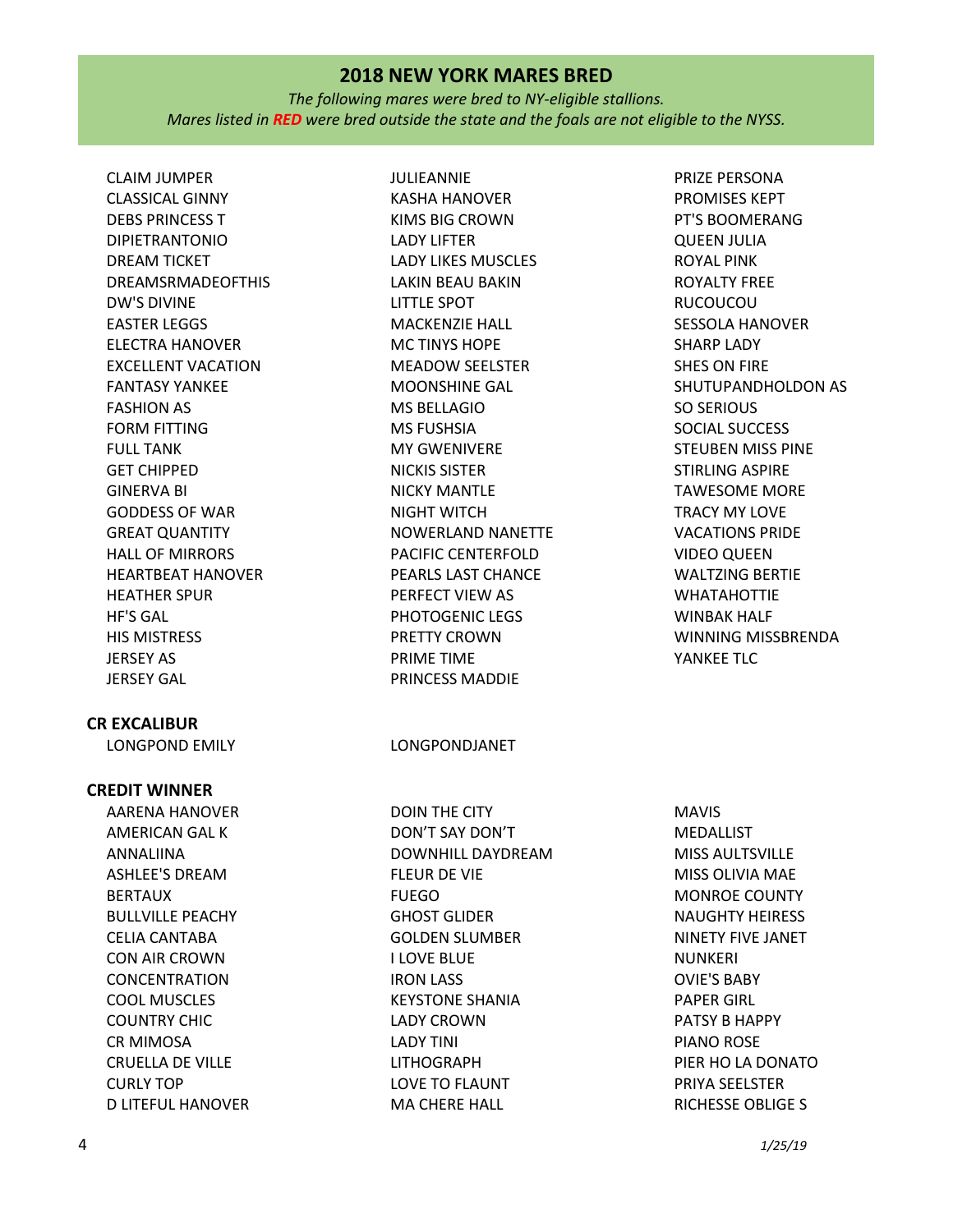*The following mares were bred to NY-eligible stallions. Mares listed in RED were bred outside the state and the foals are not eligible to the NYSS.*

CLAIM JUMPER CLASSICAL GINNY DEBS PRINCESS T DIPIETRANTONIO DREAM TICKET DREAMSRMADEOFTHIS DW'S DIVINE EASTER LEGGS ELECTRA HANOVER EXCELLENT VACATION FANTASY YANKEE FASHION AS FORM FITTING FULL TANK GET CHIPPED GINERVA BI GODDESS OF WAR GREAT QUANTITY HALL OF MIRRORS HEARTBEAT HANOVER HEATHER SPUR HF'S GAL HIS MISTRESS JERSEY AS JERSEY GAL

## **CR EXCALIBUR**

#### **CREDIT WINNER**

AARENA HANOVER AMERICAN GAL K ANNALIINA ASHLEE'S DREAM BERTAUX BULLVILLE PEACHY CELIA CANTABA CON AIR CROWN CONCENTRATION COOL MUSCLES COUNTRY CHIC CR MIMOSA CRUELLA DE VILLE CURLY TOP D LITEFUL HANOVER JULIEANNIE KASHA HANOVER KIMS BIG CROWN LADY LIFTER LADY LIKES MUSCLES LAKIN BEAU BAKIN LITTLE SPOT MACKENZIE HALL MC TINYS HOPE MEADOW SEELSTER MOONSHINE GAL MS BELLAGIO MS FUSHSIA MY GWENIVERE NICKIS SISTER NICKY MANTLE NIGHT WITCH NOWERLAND NANETTE PACIFIC CENTERFOLD PEARLS LAST CHANCE PERFECT VIEW AS PHOTOGENIC LEGS PRETTY CROWN PRIME TIME PRINCESS MADDIE

LONGPOND EMILY LONGPONDJANET

DOIN THE CITY DON'T SAY DON'T DOWNHILL DAYDREAM FLEUR DE VIE FUEGO GHOST GLIDER GOLDEN SLUMBER I LOVE BLUE IRON LASS KEYSTONE SHANIA LADY CROWN LADY TINI LITHOGRAPH LOVE TO FLAUNT MA CHERE HALL

PRIZE PERSONA PROMISES KEPT PT'S BOOMERANG QUEEN JULIA ROYAL PINK ROYALTY FREE RUCOUCOU SESSOLA HANOVER SHARP LADY SHES ON FIRE SHUTUPANDHOLDON AS SO SERIOUS SOCIAL SUCCESS STEUBEN MISS PINE STIRLING ASPIRE TAWESOME MORE TRACY MY LOVE VACATIONS PRIDE VIDEO QUEEN WALTZING BERTIE WHATAHOTTIE WINBAK HALF WINNING MISSBRENDA YANKEE TLC

MAVIS MEDALLIST MISS AULTSVILLE MISS OLIVIA MAE MONROE COUNTY NAUGHTY HEIRESS NINETY FIVE JANET NUNKERI OVIE'S BABY PAPER GIRL PATSY B HAPPY PIANO ROSE PIER HO LA DONATO PRIYA SEELSTER RICHESSE OBLIGE S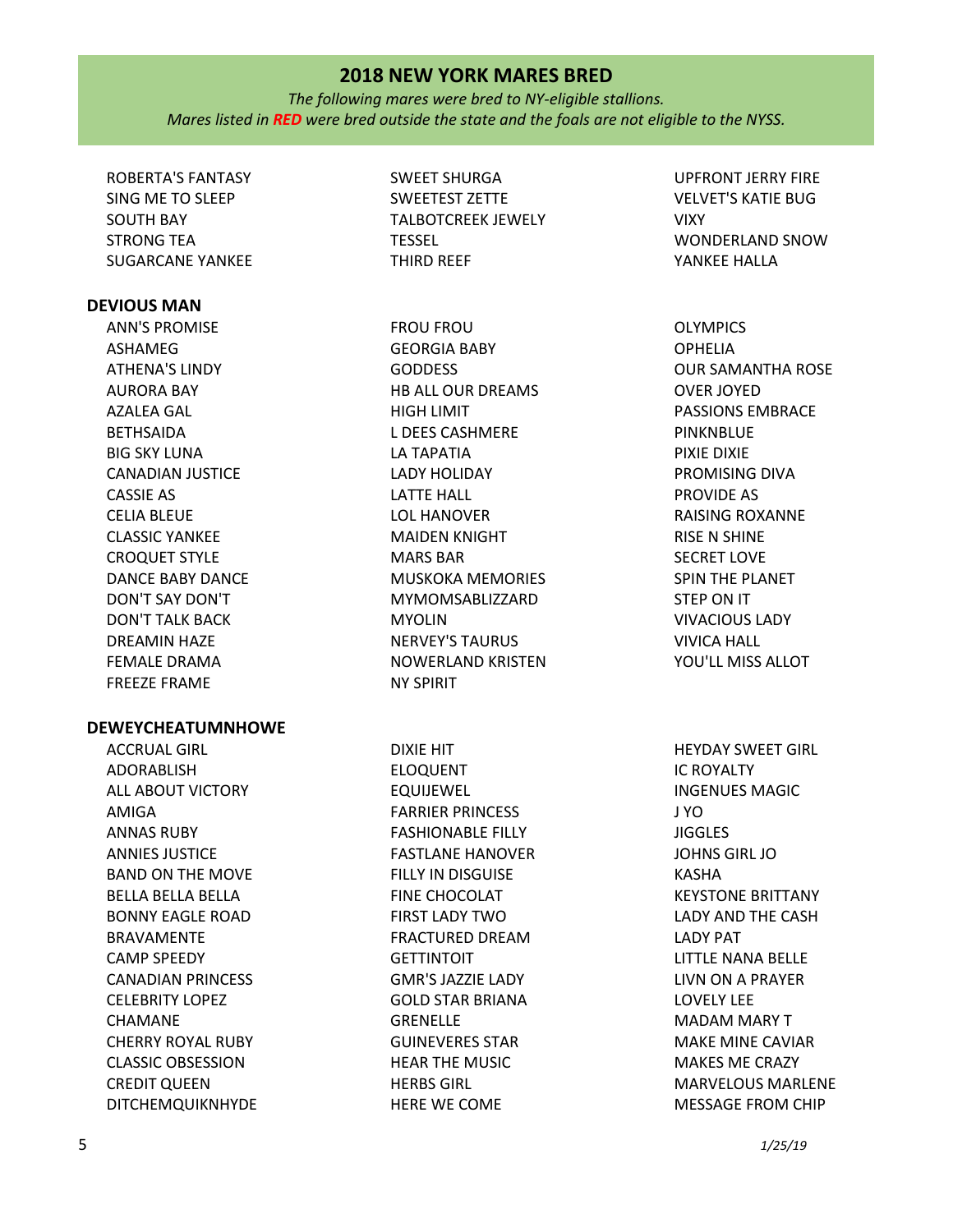*The following mares were bred to NY-eligible stallions. Mares listed in RED were bred outside the state and the foals are not eligible to the NYSS.*

ROBERTA'S FANTASY SING ME TO SLEEP SOUTH BAY STRONG TEA SUGARCANE YANKEE

#### **DEVIOUS MAN**

ANN'S PROMISE ASHAMEG ATHENA'S LINDY AURORA BAY AZALEA GAL **BETHSAIDA** BIG SKY LUNA CANADIAN JUSTICE CASSIE AS CELIA BLEUE CLASSIC YANKEE CROQUET STYLE DANCE BABY DANCE DON'T SAY DON'T DON'T TALK BACK DREAMIN HAZE FEMALE DRAMA FREEZE FRAME

#### **DEWEYCHEATUMNHOWE**

ACCRUAL GIRL ADORABLISH ALL ABOUT VICTORY AMIGA ANNAS RUBY ANNIES JUSTICE BAND ON THE MOVE BELLA BELLA BELLA BONNY EAGLE ROAD BRAVAMENTE CAMP SPEEDY CANADIAN PRINCESS CELEBRITY LOPEZ CHAMANE CHERRY ROYAL RUBY CLASSIC OBSESSION CREDIT QUEEN DITCHEMQUIKNHYDE

SWEET SHURGA SWEETEST ZETTE TALBOTCREEK JEWELY TESSEL THIRD REEF

FROU FROU GEORGIA BABY GODDESS HB ALL OUR DREAMS HIGH LIMIT L DEES CASHMERE LA TAPATIA LADY HOLIDAY LATTE HALL LOL HANOVER MAIDEN KNIGHT MARS BAR MUSKOKA MEMORIES MYMOMSABLIZZARD MYOLIN NERVEY'S TAURUS NOWERLAND KRISTEN NY SPIRIT

DIXIE HIT ELOQUENT EQUIJEWEL FARRIER PRINCESS FASHIONABLE FILLY FASTLANE HANOVER FILLY IN DISGUISE FINE CHOCOLAT FIRST LADY TWO FRACTURED DREAM **GETTINTOIT** GMR'S JAZZIE LADY GOLD STAR BRIANA **GRENELLE** GUINEVERES STAR HEAR THE MUSIC HERBS GIRL HERE WE COME

UPFRONT JERRY FIRE VELVET'S KATIE BUG VIXY WONDERLAND SNOW YANKEE HALLA

OLYMPICS OPHELIA OUR SAMANTHA ROSE OVER JOYED PASSIONS EMBRACE **PINKNBLUF** PIXIE DIXIE PROMISING DIVA PROVIDE AS RAISING ROXANNE RISE N SHINE SECRET LOVE SPIN THE PLANET STEP ON IT VIVACIOUS LADY VIVICA HALL YOU'LL MISS ALLOT

HEYDAY SWEET GIRL IC ROYALTY INGENUES MAGIC J YO **JIGGLES** JOHNS GIRL JO KASHA KEYSTONE BRITTANY LADY AND THE CASH LADY PAT LITTLE NANA BELLE LIVN ON A PRAYER LOVELY LEE MADAM MARY T MAKE MINE CAVIAR MAKES ME CRAZY MARVELOUS MARLENE MESSAGE FROM CHIP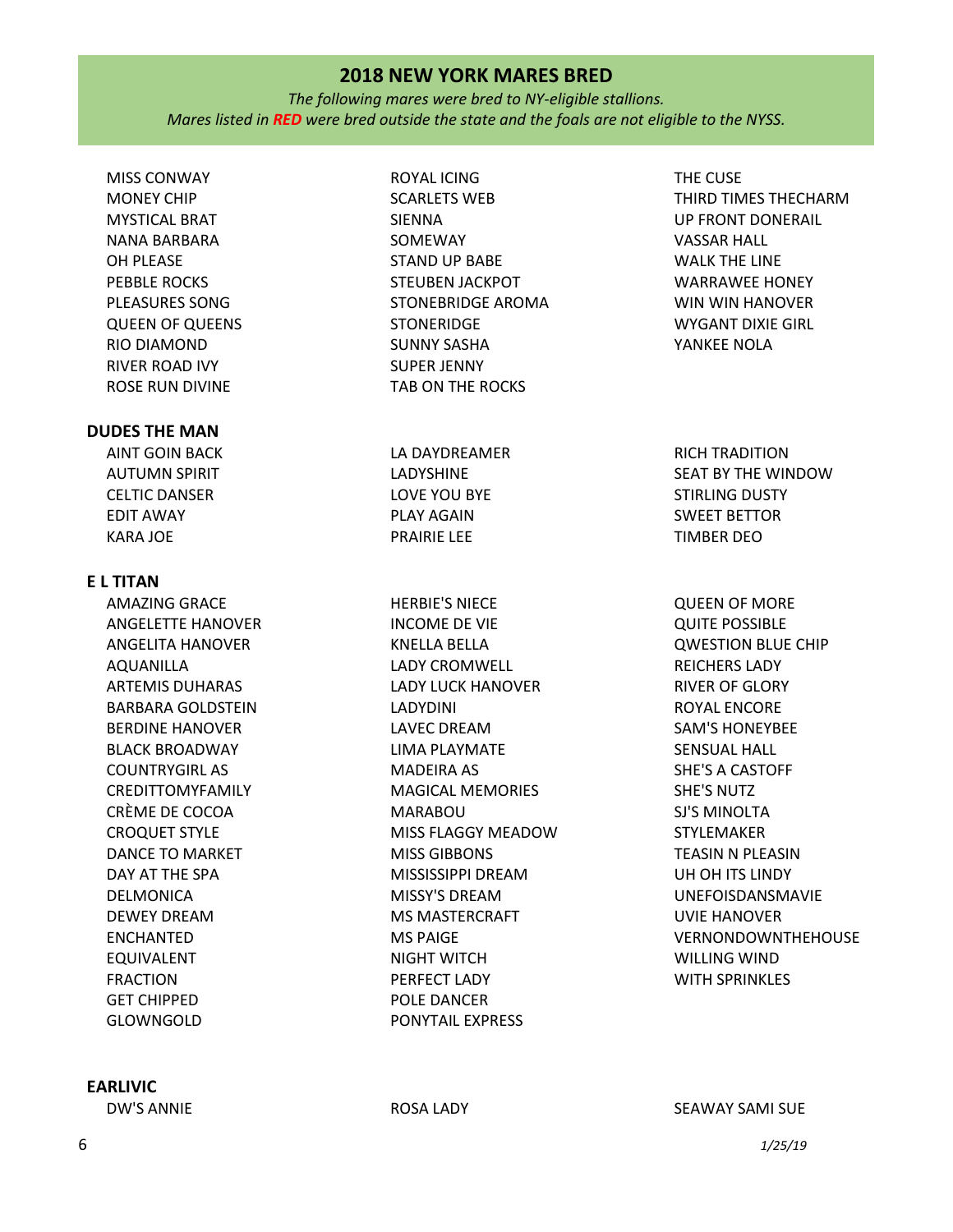*The following mares were bred to NY-eligible stallions. Mares listed in RED were bred outside the state and the foals are not eligible to the NYSS.*

MISS CONWAY MONEY CHIP MYSTICAL BRAT NANA BARBARA OH PLEASE PEBBLE ROCKS PLEASURES SONG QUEEN OF QUEENS RIO DIAMOND RIVER ROAD IVY ROSE RUN DIVINE

## **DUDES THE MAN**

AINT GOIN BACK AUTUMN SPIRIT CELTIC DANSER EDIT AWAY KARA JOE

## **E L TITAN**

AMAZING GRACE ANGELETTE HANOVER ANGELITA HANOVER AQUANILLA ARTEMIS DUHARAS BARBARA GOLDSTEIN BERDINE HANOVER BLACK BROADWAY COUNTRYGIRL AS CREDITTOMYFAMILY CRÈME DE COCOA CROQUET STYLE DANCE TO MARKET DAY AT THE SPA DELMONICA DEWEY DREAM ENCHANTED EQUIVALENT FRACTION GET CHIPPED GLOWNGOLD

# **EARLIVIC**

ROYAL ICING SCARLETS WEB SIENNA SOMEWAY STAND UP BABE STEUBEN JACKPOT STONEBRIDGE AROMA **STONERIDGE** SUNNY SASHA SUPER JENNY TAB ON THE ROCKS

LA DAYDREAMER LADYSHINE LOVE YOU BYE PLAY AGAIN PRAIRIE LEE

HERBIE'S NIECE INCOME DE VIE KNELLA BELLA LADY CROMWELL LADY LUCK HANOVER LADYDINI LAVEC DREAM LIMA PLAYMATE MADEIRA AS MAGICAL MEMORIES MARABOU MISS FLAGGY MEADOW MISS GIBBONS MISSISSIPPI DREAM MISSY'S DREAM MS MASTERCRAFT MS PAIGE NIGHT WITCH PERFECT LADY POLE DANCER PONYTAIL EXPRESS

THE CUSE THIRD TIMES THECHARM UP FRONT DONERAIL VASSAR HALL WALK THE LINE WARRAWEE HONEY WIN WIN HANOVER WYGANT DIXIE GIRL YANKEE NOLA

RICH TRADITION SEAT BY THE WINDOW STIRLING DUSTY SWEET BETTOR TIMBER DEO

QUEEN OF MORE QUITE POSSIBLE QWESTION BLUE CHIP REICHERS LADY RIVER OF GLORY ROYAL ENCORE SAM'S HONEYBEE SENSUAL HALL SHE'S A CASTOFF SHE'S NUTZ SJ'S MINOLTA STYLEMAKER TEASIN N PLEASIN UH OH ITS LINDY UNEFOISDANSMAVIE UVIE HANOVER VERNONDOWNTHEHOUSE WILLING WIND WITH SPRINKLES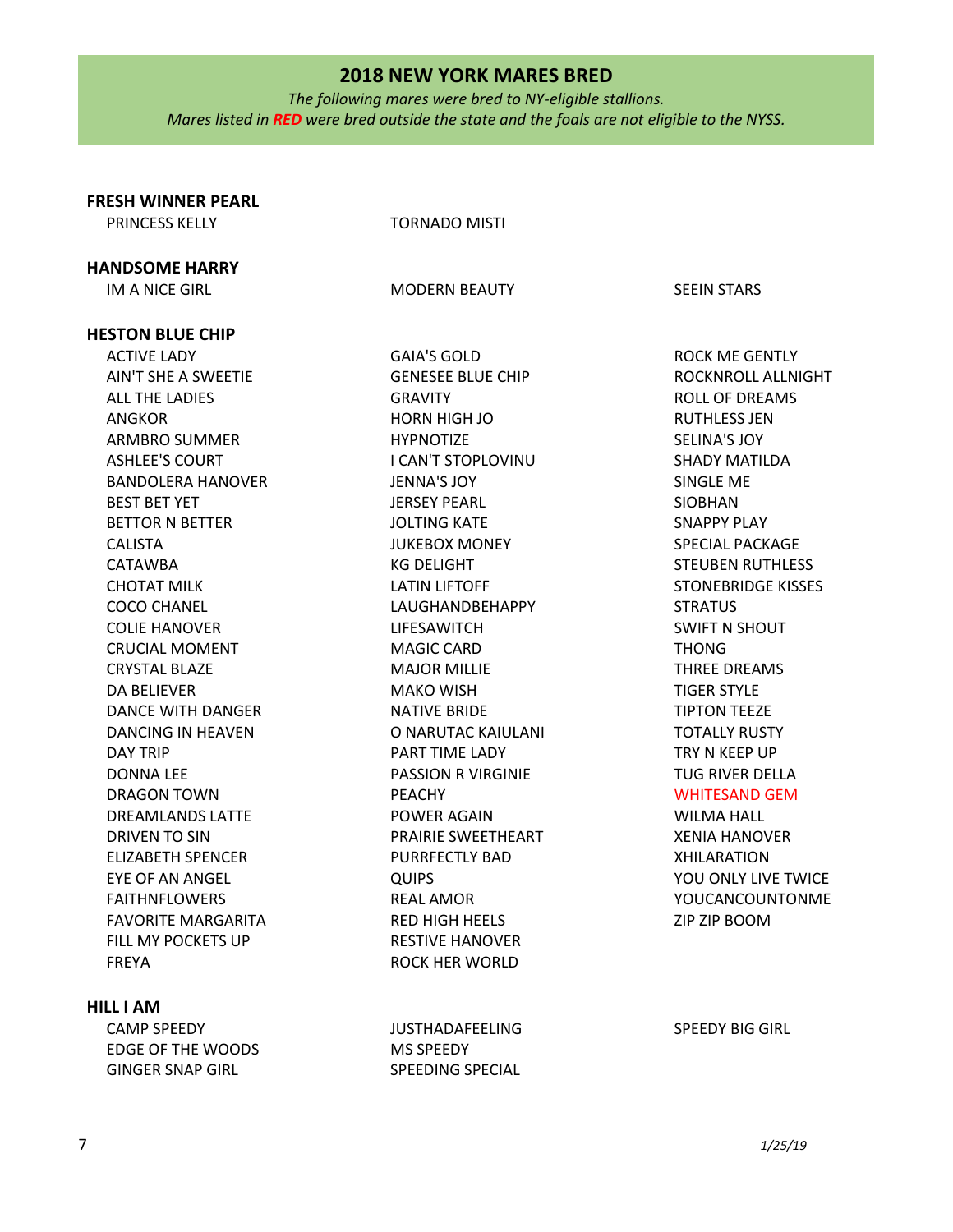*The following mares were bred to NY-eligible stallions. Mares listed in RED were bred outside the state and the foals are not eligible to the NYSS.*

| <b>FRESH WINNER PEARL</b> |                          |                           |
|---------------------------|--------------------------|---------------------------|
| <b>PRINCESS KELLY</b>     | <b>TORNADO MISTI</b>     |                           |
| <b>HANDSOME HARRY</b>     |                          |                           |
| IM A NICE GIRL            | <b>MODERN BEAUTY</b>     | <b>SEEIN STARS</b>        |
| <b>HESTON BLUE CHIP</b>   |                          |                           |
| <b>ACTIVE LADY</b>        | <b>GAIA'S GOLD</b>       | <b>ROCK ME GENTLY</b>     |
| AIN'T SHE A SWEETIE       | <b>GENESEE BLUE CHIP</b> | ROCKNROLL ALLNIGHT        |
| <b>ALL THE LADIES</b>     | <b>GRAVITY</b>           | <b>ROLL OF DREAMS</b>     |
| <b>ANGKOR</b>             | HORN HIGH JO             | <b>RUTHLESS JEN</b>       |
| <b>ARMBRO SUMMER</b>      | <b>HYPNOTIZE</b>         | <b>SELINA'S JOY</b>       |
| <b>ASHLEE'S COURT</b>     | I CAN'T STOPLOVINU       | <b>SHADY MATILDA</b>      |
| <b>BANDOLERA HANOVER</b>  | <b>JENNA'S JOY</b>       | SINGLE ME                 |
| <b>BEST BET YET</b>       | <b>JERSEY PEARL</b>      | <b>SIOBHAN</b>            |
| <b>BETTOR N BETTER</b>    | <b>JOLTING KATE</b>      | <b>SNAPPY PLAY</b>        |
| <b>CALISTA</b>            | <b>JUKEBOX MONEY</b>     | <b>SPECIAL PACKAGE</b>    |
| <b>CATAWBA</b>            | <b>KG DELIGHT</b>        | <b>STEUBEN RUTHLESS</b>   |
| <b>CHOTAT MILK</b>        | <b>LATIN LIFTOFF</b>     | <b>STONEBRIDGE KISSES</b> |
| <b>COCO CHANEL</b>        | LAUGHANDBEHAPPY          | <b>STRATUS</b>            |
| <b>COLIE HANOVER</b>      | LIFESAWITCH              | <b>SWIFT N SHOUT</b>      |
| <b>CRUCIAL MOMENT</b>     | <b>MAGIC CARD</b>        | <b>THONG</b>              |
| <b>CRYSTAL BLAZE</b>      | <b>MAJOR MILLIE</b>      | <b>THREE DREAMS</b>       |
| DA BELIEVER               | <b>MAKO WISH</b>         | <b>TIGER STYLE</b>        |
| DANCE WITH DANGER         | <b>NATIVE BRIDE</b>      | <b>TIPTON TEEZE</b>       |
| DANCING IN HEAVEN         | O NARUTAC KAIULANI       | <b>TOTALLY RUSTY</b>      |
| <b>DAY TRIP</b>           | PART TIME LADY           | TRY N KEEP UP             |
| <b>DONNA LEE</b>          | PASSION R VIRGINIE       | <b>TUG RIVER DELLA</b>    |
| <b>DRAGON TOWN</b>        | <b>PEACHY</b>            | <b>WHITESAND GEM</b>      |
| <b>DREAMLANDS LATTE</b>   | POWER AGAIN              | <b>WILMA HALL</b>         |
| DRIVEN TO SIN             | PRAIRIE SWEETHEART       | <b>XENIA HANOVER</b>      |
| <b>ELIZABETH SPENCER</b>  | <b>PURRFECTLY BAD</b>    | <b>XHILARATION</b>        |
| <b>EYE OF AN ANGEL</b>    | <b>QUIPS</b>             | YOU ONLY LIVE TWICE       |
| <b>FAITHNFLOWERS</b>      | <b>REAL AMOR</b>         | YOUCANCOUNTONME           |
| <b>FAVORITE MARGARITA</b> | <b>RED HIGH HEELS</b>    | ZIP ZIP BOOM              |
| FILL MY POCKETS UP        | <b>RESTIVE HANOVER</b>   |                           |
| <b>FREYA</b>              | ROCK HER WORLD           |                           |
| <b>HILL I AM</b>          |                          |                           |

JUSTHADAFEELING

SPEEDING SPECIAL

MS SPEEDY

#### SPEEDY BIG GIRL

CAMP SPEEDY

EDGE OF THE WOODS GINGER SNAP GIRL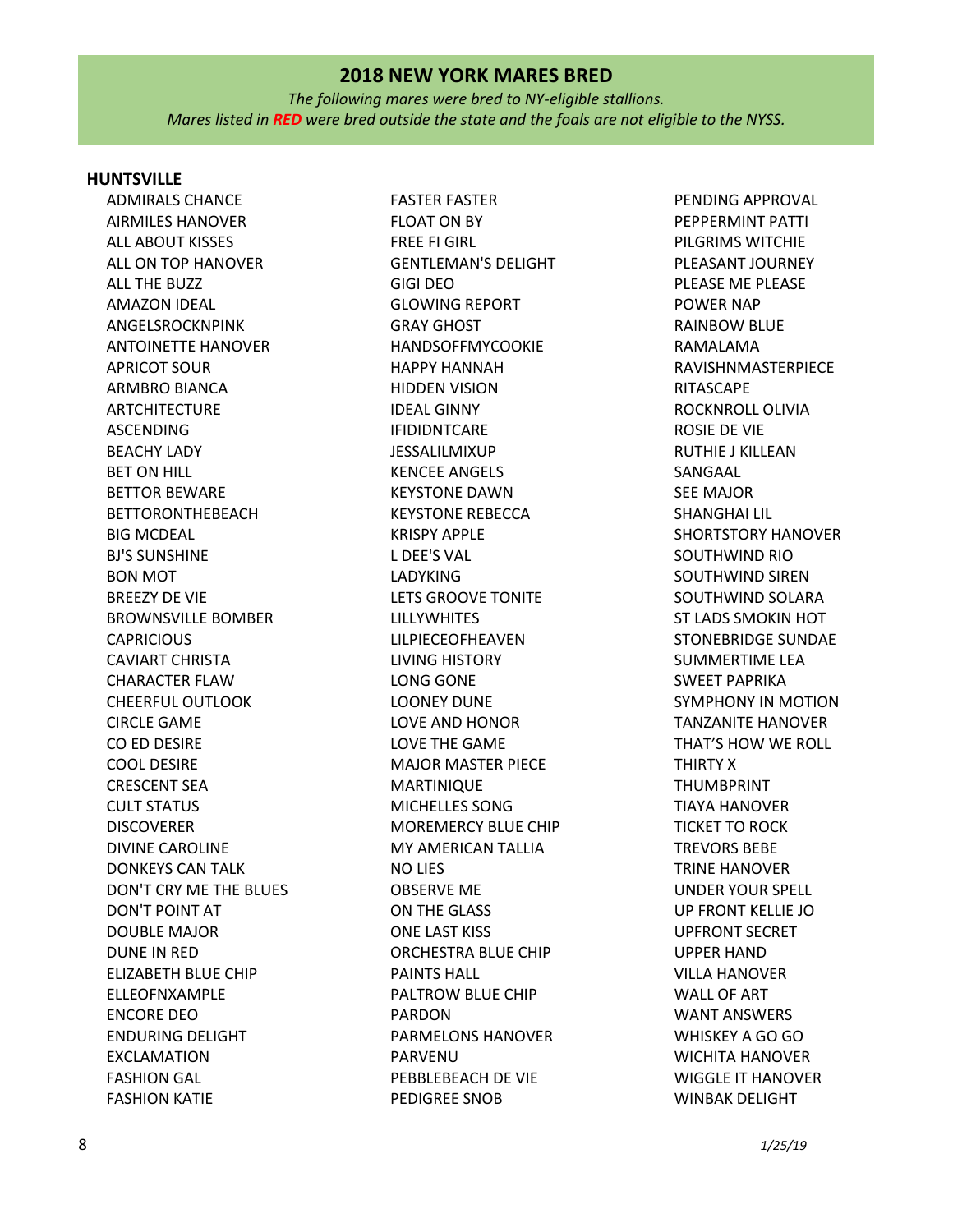*The following mares were bred to NY-eligible stallions. Mares listed in RED were bred outside the state and the foals are not eligible to the NYSS.*

#### **HUNTSVILLE**

ADMIRALS CHANCE AIRMILES HANOVER ALL ABOUT KISSES ALL ON TOP HANOVER ALL THE BUZZ AMAZON IDEAL ANGELSROCKNPINK ANTOINETTE HANOVER APRICOT SOUR ARMBRO BIANCA ARTCHITECTURE ASCENDING BEACHY LADY BET ON HILL BETTOR BEWARE BETTORONTHEBEACH BIG MCDEAL BJ'S SUNSHINE BON MOT BREEZY DE VIE BROWNSVILLE BOMBER **CAPRICIOUS** CAVIART CHRISTA CHARACTER FLAW CHEERFUL OUTLOOK CIRCLE GAME CO ED DESIRE COOL DESIRE CRESCENT SEA CULT STATUS **DISCOVERER** DIVINE CAROLINE DONKEYS CAN TALK DON'T CRY ME THE BLUES DON'T POINT AT DOUBLE MAJOR DUNE IN RED ELIZABETH BLUE CHIP ELLEOFNXAMPLE ENCORE DEO ENDURING DELIGHT EXCLAMATION FASHION GAL FASHION KATIE

FASTER FASTER FLOAT ON BY FREE FI GIRL GENTLEMAN'S DELIGHT GIGI DEO GLOWING REPORT GRAY GHOST HANDSOFFMYCOOKIE HAPPY HANNAH HIDDEN VISION IDEAL GINNY IFIDIDNTCARE JESSALILMIXUP KENCEE ANGELS KEYSTONE DAWN KEYSTONE REBECCA KRISPY APPLE L DEE'S VAL LADYKING LETS GROOVE TONITE LILLYWHITES LILPIECEOFHEAVEN LIVING HISTORY LONG GONE LOONEY DUNE LOVE AND HONOR LOVE THE GAME MAJOR MASTER PIECE MARTINIQUE MICHELLES SONG MOREMERCY BLUE CHIP MY AMERICAN TALLIA NO LIES OBSERVE ME ON THE GLASS ONE LAST KISS ORCHESTRA BLUE CHIP PAINTS HALL PALTROW BLUE CHIP PARDON PARMELONS HANOVER PARVENU PEBBLEBEACH DE VIE PEDIGREE SNOB

PENDING APPROVAL PEPPERMINT PATTI PILGRIMS WITCHIE PLEASANT JOURNEY PLEASE ME PLEASE POWER NAP RAINBOW BLUE RAMALAMA RAVISHNMASTERPIECE RITASCAPE ROCKNROLL OLIVIA ROSIE DE VIE RUTHIE J KILLEAN SANGAAL SEE MAJOR SHANGHAI LIL SHORTSTORY HANOVER SOUTHWIND RIO SOUTHWIND SIREN SOUTHWIND SOLARA ST LADS SMOKIN HOT STONEBRIDGE SUNDAE SUMMERTIME LEA SWEET PAPRIKA SYMPHONY IN MOTION TANZANITE HANOVER THAT'S HOW WE ROLL THIRTY X THUMBPRINT TIAYA HANOVER TICKET TO ROCK TREVORS BEBE TRINE HANOVER UNDER YOUR SPELL UP FRONT KELLIE JO UPFRONT SECRET UPPER HAND VILLA HANOVER WALL OF ART WANT ANSWERS WHISKEY A GO GO WICHITA HANOVER WIGGLE IT HANOVER WINBAK DELIGHT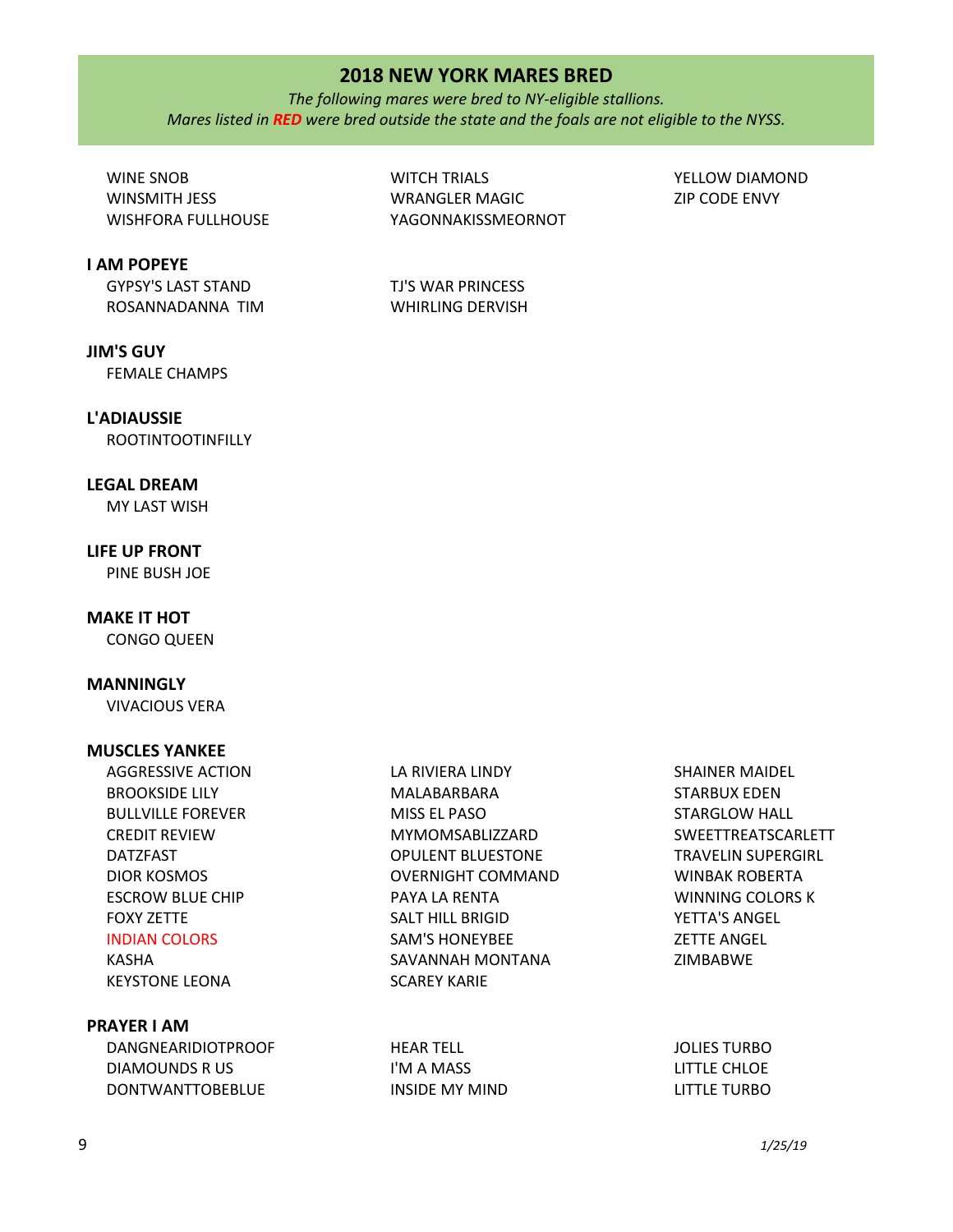*The following mares were bred to NY-eligible stallions. Mares listed in RED were bred outside the state and the foals are not eligible to the NYSS.*

WINE SNOB WINSMITH JESS WISHFORA FULLHOUSE

**I AM POPEYE**

GYPSY'S LAST STAND ROSANNADANNA TIM

**JIM'S GUY** FEMALE CHAMPS

## **L'ADIAUSSIE**

ROOTINTOOTINFILLY

## **LEGAL DREAM**

MY LAST WISH

# **LIFE UP FRONT**

PINE BUSH JOE

## **MAKE IT HOT**

CONGO QUEEN

## **MANNINGLY**

VIVACIOUS VERA

#### **MUSCLES YANKEE**

AGGRESSIVE ACTION BROOKSIDE LILY BULLVILLE FOREVER CREDIT REVIEW DATZFAST DIOR KOSMOS ESCROW BLUE CHIP FOXY ZETTE INDIAN COLORS

# KASHA KEYSTONE LEONA

## **PRAYER I AM**

| DANGNEARIDIOTPROOF | HFAR TFI I     | <b>JOLIES TURBO</b> |
|--------------------|----------------|---------------------|
| DIAMOUNDS R US     | I'M A MASS     | LITTLE CHLOE        |
| DONTWANTTOBEBLUE   | INSIDE MY MIND | LITTLE TURBO        |

LA RIVIERA LINDY MALABARBARA MISS EL PASO

PAYA LA RENTA SALT HILL BRIGID SAM'S HONEYBEE SAVANNAH MONTANA

SCAREY KARIE

MYMOMSABLIZZARD OPULENT BLUESTONE OVERNIGHT COMMAND

WITCH TRIALS WRANGLER MAGIC YAGONNAKISSMEORNOT

TJ'S WAR PRINCESS WHIRLING DERVISH YELLOW DIAMOND ZIP CODE ENVY

9 *1/25/19*

SHAINER MAIDEL STARBUX EDEN STARGLOW HALL SWEETTREATSCARLETT TRAVELIN SUPERGIRL WINBAK ROBERTA WINNING COLORS K YETTA'S ANGEL ZETTE ANGEL ZIMBABWE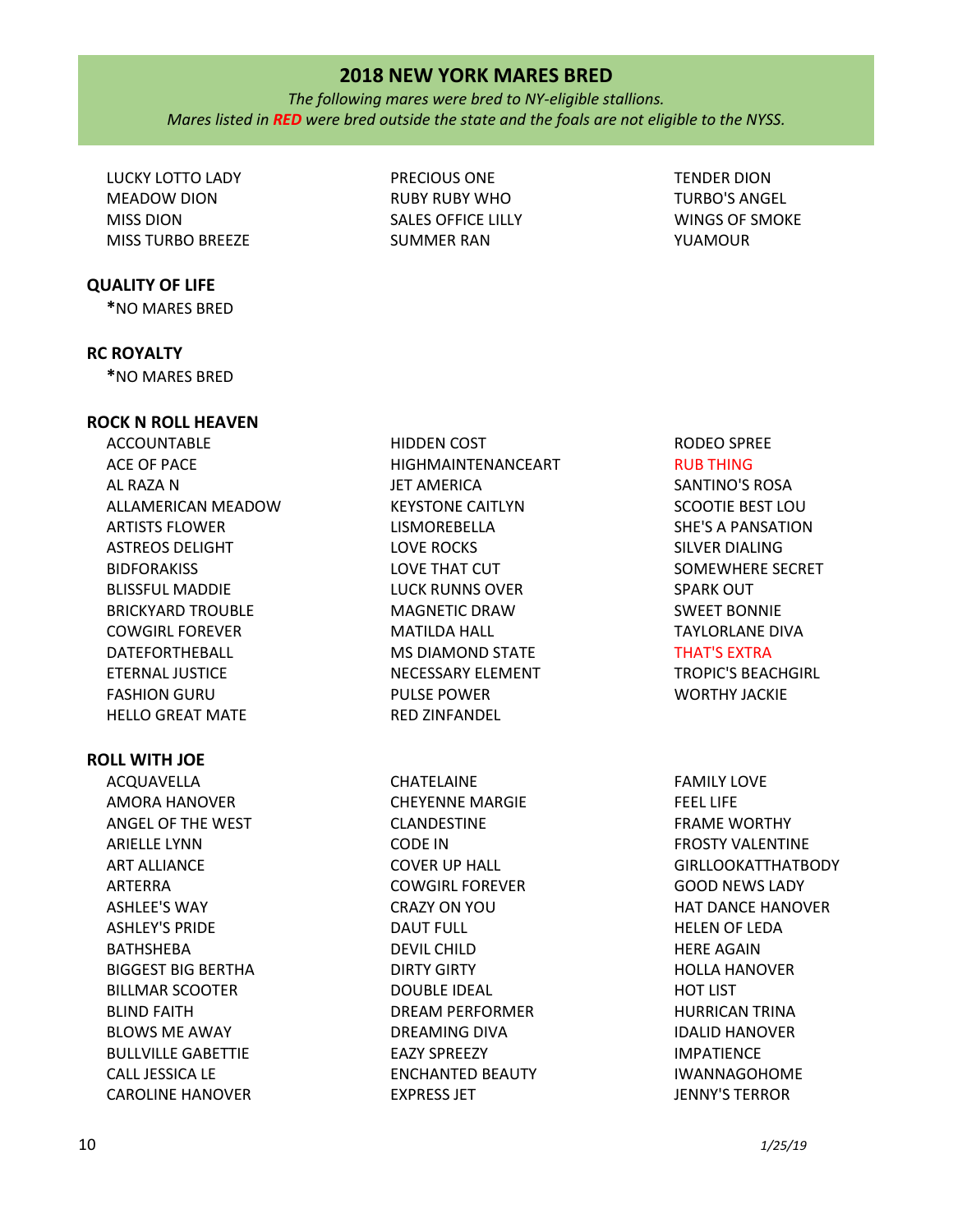*The following mares were bred to NY-eligible stallions. Mares listed in RED were bred outside the state and the foals are not eligible to the NYSS.*

> PRECIOUS ONE RUBY RUBY WHO SALES OFFICE LILLY SUMMER RAN

LUCKY LOTTO LADY MEADOW DION MISS DION MISS TURBO BREEZE

#### **QUALITY OF LIFE**

**\***NO MARES BRED

#### **RC ROYALTY**

**\***NO MARES BRED

#### **ROCK N ROLL HEAVEN**

ACCOUNTABLE ACE OF PACE AL RAZA N ALLAMERICAN MEADOW ARTISTS FLOWER ASTREOS DELIGHT **BIDFORAKISS** BLISSFUL MADDIE BRICKYARD TROUBLE COWGIRL FOREVER DATEFORTHEBALL ETERNAL JUSTICE FASHION GURU HELLO GREAT MATE

## **ROLL WITH JOE**

ACQUAVELLA AMORA HANOVER ANGEL OF THE WEST ARIELLE LYNN ART ALLIANCE ARTERRA ASHLEE'S WAY ASHLEY'S PRIDE BATHSHEBA BIGGEST BIG BERTHA BILLMAR SCOOTER BLIND FAITH BLOWS ME AWAY BULLVILLE GABETTIE CALL JESSICA LE CAROLINE HANOVER

HIDDEN COST HIGHMAINTENANCEART JET AMERICA KEYSTONE CAITLYN LISMOREBELLA LOVE ROCKS LOVE THAT CUT LUCK RUNNS OVER MAGNETIC DRAW MATILDA HALL MS DIAMOND STATE NECESSARY ELEMENT PULSE POWER RED ZINFANDEL

CHATELAINE CHEYENNE MARGIE CLANDESTINE CODE IN COVER UP HALL COWGIRL FOREVER CRAZY ON YOU DAUT FULL DEVIL CHILD DIRTY GIRTY DOUBLE IDEAL DREAM PERFORMER DREAMING DIVA EAZY SPREEZY ENCHANTED BEAUTY EXPRESS JET

# TENDER DION TURBO'S ANGEL WINGS OF SMOKE YUAMOUR

RODEO SPREE RUB THING

SANTINO'S ROSA SCOOTIE BEST LOU SHE'S A PANSATION SILVER DIALING SOMEWHERE SECRET SPARK OUT SWEET BONNIE TAYLORLANE DIVA

THAT'S EXTRA

TROPIC'S BEACHGIRL WORTHY JACKIE

FAMILY LOVE FEEL LIFE FRAME WORTHY FROSTY VALENTINE GIRLLOOKATTHATBODY GOOD NEWS LADY HAT DANCE HANOVER HELEN OF LEDA HERE AGAIN HOLLA HANOVER HOT LIST HURRICAN TRINA IDALID HANOVER IMPATIENCE IWANNAGOHOME JENNY'S TERROR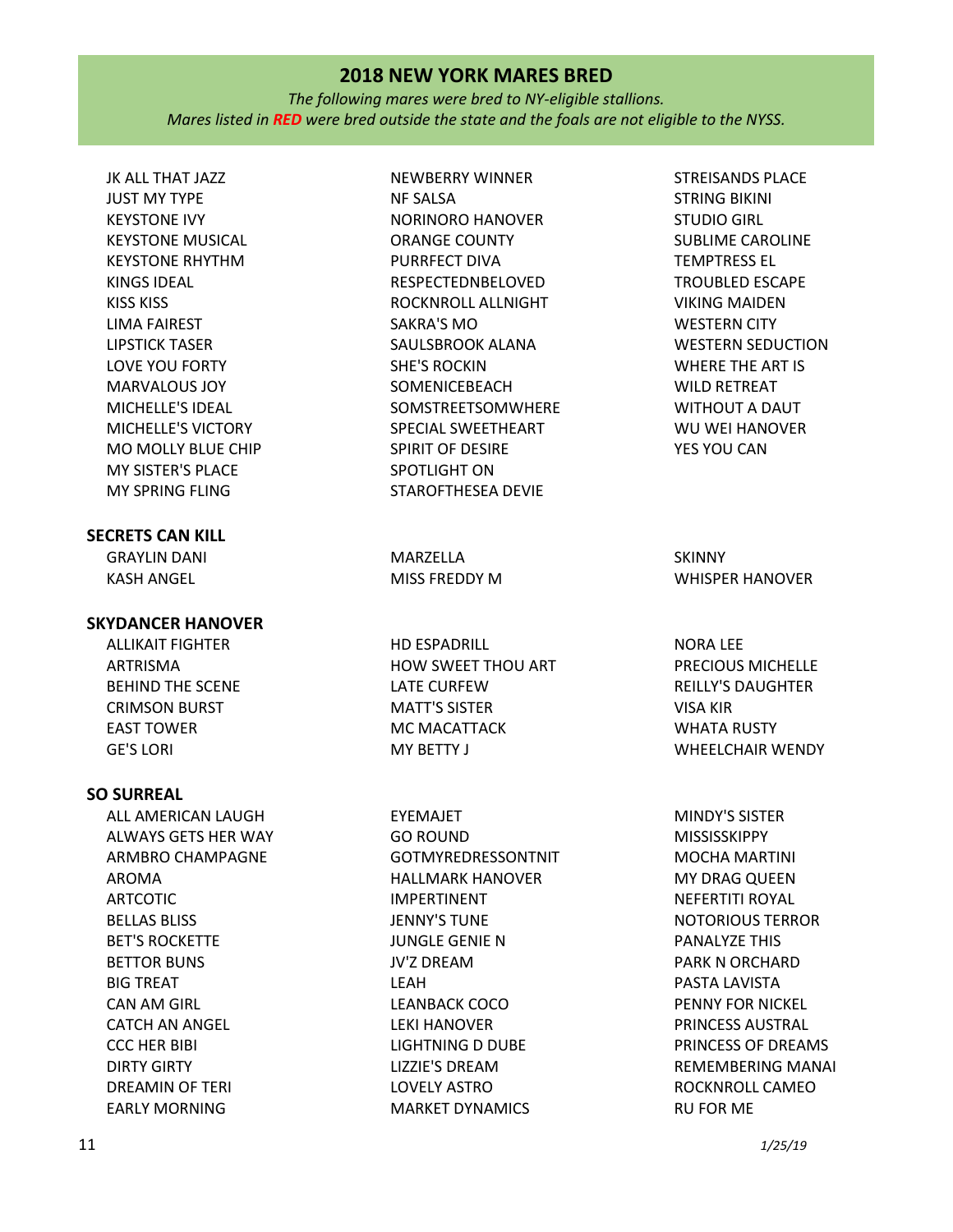*The following mares were bred to NY-eligible stallions. Mares listed in RED were bred outside the state and the foals are not eligible to the NYSS.*

JK ALL THAT JAZZ JUST MY TYPE KEYSTONE IVY KEYSTONE MUSICAL KEYSTONE RHYTHM KINGS IDEAL KISS KISS LIMA FAIREST LIPSTICK TASER LOVE YOU FORTY MARVALOUS JOY MICHELLE'S IDEAL MICHELLE'S VICTORY MO MOLLY BLUE CHIP MY SISTER'S PLACE MY SPRING FLING

## **SECRETS CAN KILL**

GRAYLIN DANI KASH ANGEL

## **SKYDANCER HANOVER**

ALLIKAIT FIGHTER ARTRISMA BEHIND THE SCENE CRIMSON BURST EAST TOWER GE'S LORI

#### **SO SURREAL**

ALL AMERICAN LAUGH ALWAYS GETS HER WAY ARMBRO CHAMPAGNE AROMA ARTCOTIC BELLAS BLISS BET'S ROCKETTE BETTOR BUNS BIG TREAT CAN AM GIRL CATCH AN ANGEL CCC HER BIBI DIRTY GIRTY DREAMIN OF TERI EARLY MORNING

NEWBERRY WINNER NF SALSA NORINORO HANOVER ORANGE COUNTY PURRFECT DIVA RESPECTEDNBELOVED ROCKNROLL ALLNIGHT SAKRA'S MO SAULSBROOK ALANA SHE'S ROCKIN **SOMENICEBEACH** SOMSTREETSOMWHERE SPECIAL SWEETHEART SPIRIT OF DESIRE SPOTLIGHT ON STAROFTHESEA DEVIE

MARZELLA MISS FREDDY M

HD ESPADRILL HOW SWEET THOU ART LATE CURFEW MATT'S SISTER MC MACATTACK MY BETTY J

EYEMAJET GO ROUND GOTMYREDRESSONTNIT HALLMARK HANOVER IMPERTINENT JENNY'S TUNE JUNGLE GENIE N JV'Z DREAM LEAH LEANBACK COCO LEKI HANOVER LIGHTNING D DUBE LIZZIE'S DREAM LOVELY ASTRO MARKET DYNAMICS

STREISANDS PLACE STRING BIKINI STUDIO GIRL SUBLIME CAROLINE TEMPTRESS EL TROUBLED ESCAPE VIKING MAIDEN WESTERN CITY WESTERN SEDUCTION WHERE THE ART IS WILD RETREAT WITHOUT A DAUT WU WEI HANOVER YES YOU CAN

SKINNY WHISPER HANOVER

NORA LEE PRECIOUS MICHELLE REILLY'S DAUGHTER VISA KIR WHATA RUSTY WHEELCHAIR WENDY

MINDY'S SISTER MISSISSKIPPY MOCHA MARTINI MY DRAG QUEEN NEFERTITI ROYAL NOTORIOUS TERROR PANALYZE THIS PARK N ORCHARD PASTA LAVISTA PENNY FOR NICKEL PRINCESS AUSTRAL PRINCESS OF DREAMS REMEMBERING MANAI ROCKNROLL CAMEO RU FOR ME